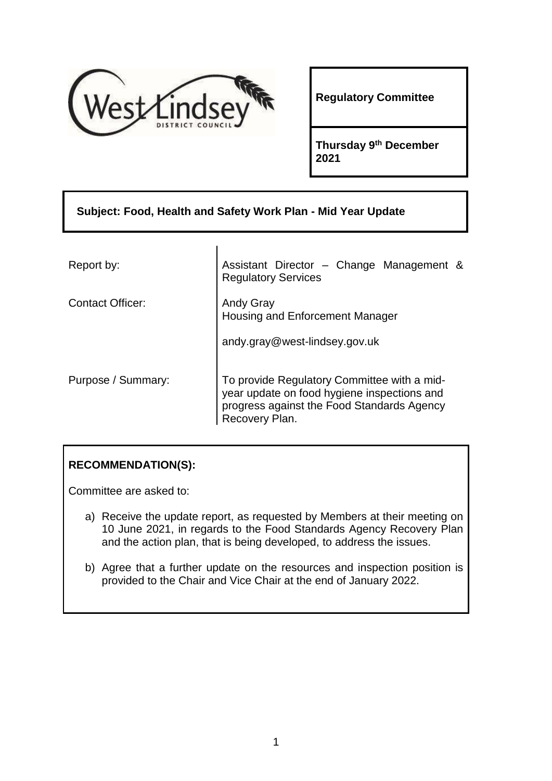

**Regulatory Committee**

**Thursday 9th December 2021**

| Subject: Food, Health and Safety Work Plan - Mid Year Update |                                                                                                                                                            |  |  |
|--------------------------------------------------------------|------------------------------------------------------------------------------------------------------------------------------------------------------------|--|--|
|                                                              |                                                                                                                                                            |  |  |
| Report by:                                                   | Assistant Director - Change Management &<br><b>Regulatory Services</b>                                                                                     |  |  |
| <b>Contact Officer:</b>                                      | <b>Andy Gray</b><br><b>Housing and Enforcement Manager</b>                                                                                                 |  |  |
|                                                              | andy.gray@west-lindsey.gov.uk                                                                                                                              |  |  |
| Purpose / Summary:                                           | To provide Regulatory Committee with a mid-<br>year update on food hygiene inspections and<br>progress against the Food Standards Agency<br>Recovery Plan. |  |  |

## **RECOMMENDATION(S):**

Committee are asked to:

- a) Receive the update report, as requested by Members at their meeting on 10 June 2021, in regards to the Food Standards Agency Recovery Plan and the action plan, that is being developed, to address the issues.
- b) Agree that a further update on the resources and inspection position is provided to the Chair and Vice Chair at the end of January 2022.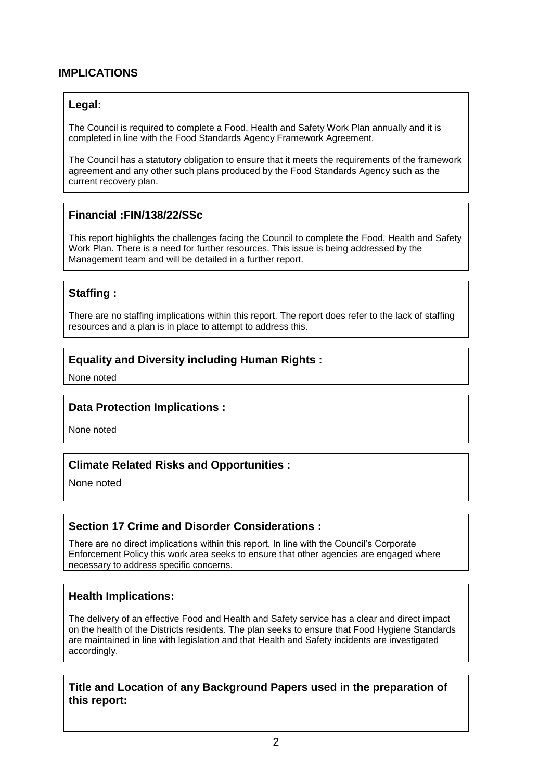## **IMPLICATIONS**

## **Legal:**

The Council is required to complete a Food, Health and Safety Work Plan annually and it is completed in line with the Food Standards Agency Framework Agreement.

The Council has a statutory obligation to ensure that it meets the requirements of the framework agreement and any other such plans produced by the Food Standards Agency such as the current recovery plan.

## **Financial :FIN/138/22/SSc**

This report highlights the challenges facing the Council to complete the Food, Health and Safety Work Plan. There is a need for further resources. This issue is being addressed by the Management team and will be detailed in a further report.

## **Staffing :**

There are no staffing implications within this report. The report does refer to the lack of staffing resources and a plan is in place to attempt to address this.

## **Equality and Diversity including Human Rights :**

None noted

#### **Data Protection Implications :**

None noted

#### **Climate Related Risks and Opportunities :**

None noted

## **Section 17 Crime and Disorder Considerations :**

There are no direct implications within this report. In line with the Council's Corporate Enforcement Policy this work area seeks to ensure that other agencies are engaged where necessary to address specific concerns.

#### **Health Implications:**

The delivery of an effective Food and Health and Safety service has a clear and direct impact on the health of the Districts residents. The plan seeks to ensure that Food Hygiene Standards are maintained in line with legislation and that Health and Safety incidents are investigated accordingly.

## **Title and Location of any Background Papers used in the preparation of this report:**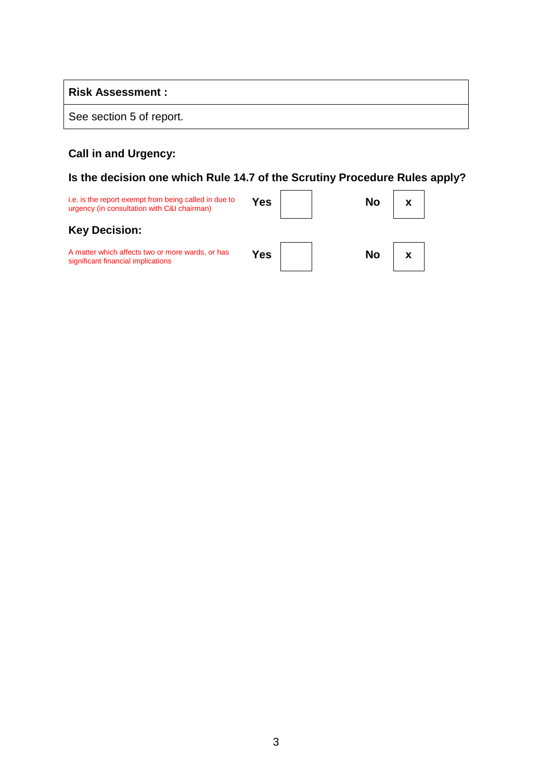### **Risk Assessment :**

See section 5 of report.

# **Call in and Urgency:**

# **Is the decision one which Rule 14.7 of the Scrutiny Procedure Rules apply?**

| i.e. is the report exempt from being called in due to<br>urgency (in consultation with C&I chairman) | Yes | Nο |  |
|------------------------------------------------------------------------------------------------------|-----|----|--|
| <b>Key Decision:</b>                                                                                 |     |    |  |
| A matter which affects two or more wards, or has<br>significant financial implications               | Yes | No |  |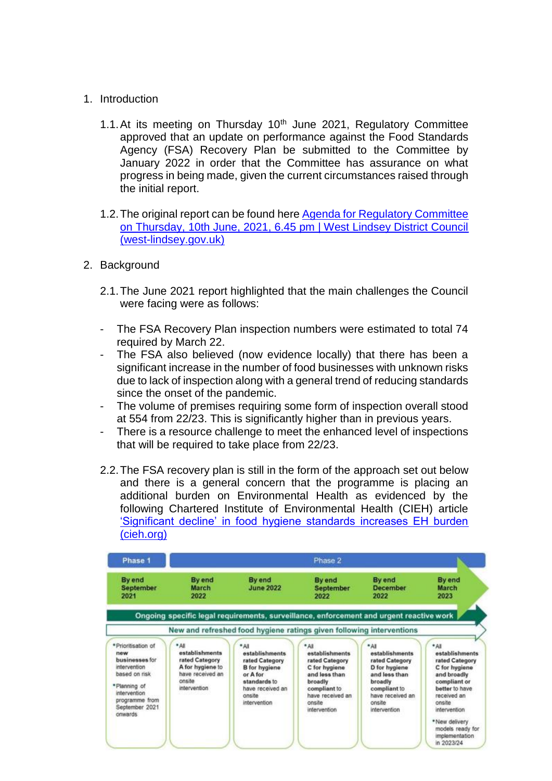- 1. Introduction
	- 1.1. At its meeting on Thursday  $10<sup>th</sup>$  June 2021, Regulatory Committee approved that an update on performance against the Food Standards Agency (FSA) Recovery Plan be submitted to the Committee by January 2022 in order that the Committee has assurance on what progress in being made, given the current circumstances raised through the initial report.
	- 1.2.The original report can be found here [Agenda for Regulatory Committee](https://democracy.west-lindsey.gov.uk/ieListDocuments.aspx?CId=262&MId=2906&Ver=4)  [on Thursday, 10th June, 2021, 6.45 pm | West Lindsey District Council](https://democracy.west-lindsey.gov.uk/ieListDocuments.aspx?CId=262&MId=2906&Ver=4)  [\(west-lindsey.gov.uk\)](https://democracy.west-lindsey.gov.uk/ieListDocuments.aspx?CId=262&MId=2906&Ver=4)
- 2. Background
	- 2.1.The June 2021 report highlighted that the main challenges the Council were facing were as follows:
	- The FSA Recovery Plan inspection numbers were estimated to total 74 required by March 22.
	- The FSA also believed (now evidence locally) that there has been a significant increase in the number of food businesses with unknown risks due to lack of inspection along with a general trend of reducing standards since the onset of the pandemic.
	- The volume of premises requiring some form of inspection overall stood at 554 from 22/23. This is significantly higher than in previous years.
	- There is a resource challenge to meet the enhanced level of inspections that will be required to take place from 22/23.
	- 2.2.The FSA recovery plan is still in the form of the approach set out below and there is a general concern that the programme is placing an additional burden on Environmental Health as evidenced by the following Chartered Institute of Environmental Health (CIEH) article ['Significant decline' in food hygiene standards increases EH burden](https://www.cieh.org/ehn/food-safety-integrity/2021/november/significant-decline-in-food-hygiene-standards-increases-eh-burden/?utm_campaign=12789081_EHN%20Extra%2011.11.21&utm_medium=email&utm_source=CIEH&dm_i=1RSV,7M449,B874F8,V08VZ,1)  [\(cieh.org\)](https://www.cieh.org/ehn/food-safety-integrity/2021/november/significant-decline-in-food-hygiene-standards-increases-eh-burden/?utm_campaign=12789081_EHN%20Extra%2011.11.21&utm_medium=email&utm_source=CIEH&dm_i=1RSV,7M449,B874F8,V08VZ,1)

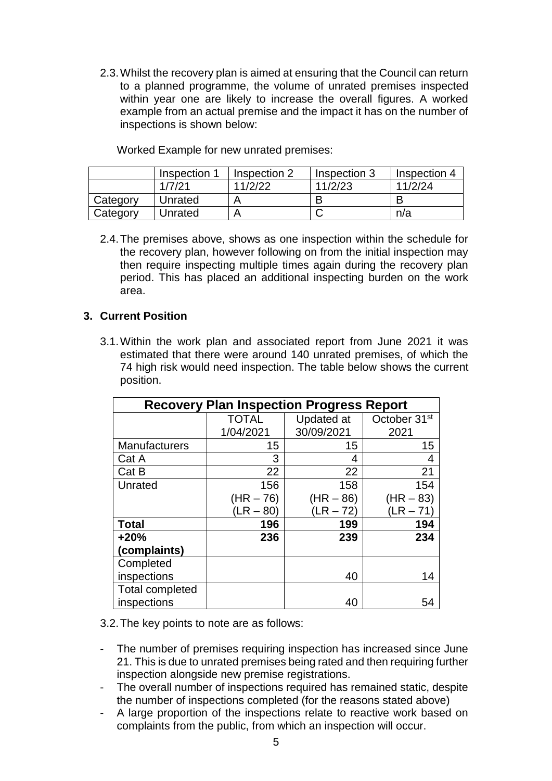2.3.Whilst the recovery plan is aimed at ensuring that the Council can return to a planned programme, the volume of unrated premises inspected within year one are likely to increase the overall figures. A worked example from an actual premise and the impact it has on the number of inspections is shown below:

|          | Inspection | Inspection 2 | Inspection 3 | Inspection 4 |
|----------|------------|--------------|--------------|--------------|
|          | 1/7/21     | 11/2/22      | 11/2/23      | 11/2/24      |
| Category | Unrated    |              |              |              |
| Category | Unrated    |              |              | n/a          |

Worked Example for new unrated premises:

2.4.The premises above, shows as one inspection within the schedule for the recovery plan, however following on from the initial inspection may then require inspecting multiple times again during the recovery plan period. This has placed an additional inspecting burden on the work area.

## **3. Current Position**

3.1.Within the work plan and associated report from June 2021 it was estimated that there were around 140 unrated premises, of which the 74 high risk would need inspection. The table below shows the current position.

| <b>Recovery Plan Inspection Progress Report</b> |              |             |                          |  |
|-------------------------------------------------|--------------|-------------|--------------------------|--|
|                                                 | <b>TOTAL</b> | Updated at  | October 31 <sup>st</sup> |  |
|                                                 | 1/04/2021    | 30/09/2021  | 2021                     |  |
| <b>Manufacturers</b>                            | 15           | 15          | 15                       |  |
| Cat A                                           | 3            | 4           | 4                        |  |
| Cat B                                           | 22           | 22          | 21                       |  |
| Unrated                                         | 156          | 158         | 154                      |  |
|                                                 | $(HR - 76)$  | $(HR - 86)$ | $(HR - 83)$              |  |
|                                                 | $'LR - 80$   | $'LR - 72)$ | (LR – 71`                |  |
| <b>Total</b>                                    | 196          | 199         | 194                      |  |
| $+20%$                                          | 236          | 239         | 234                      |  |
| (complaints)                                    |              |             |                          |  |
| Completed                                       |              |             |                          |  |
| inspections                                     |              | 40          | 14                       |  |
| <b>Total completed</b>                          |              |             |                          |  |
| inspections                                     |              | 40          | 54                       |  |

3.2.The key points to note are as follows:

- The number of premises requiring inspection has increased since June 21. This is due to unrated premises being rated and then requiring further inspection alongside new premise registrations.
- The overall number of inspections required has remained static, despite the number of inspections completed (for the reasons stated above)
- A large proportion of the inspections relate to reactive work based on complaints from the public, from which an inspection will occur.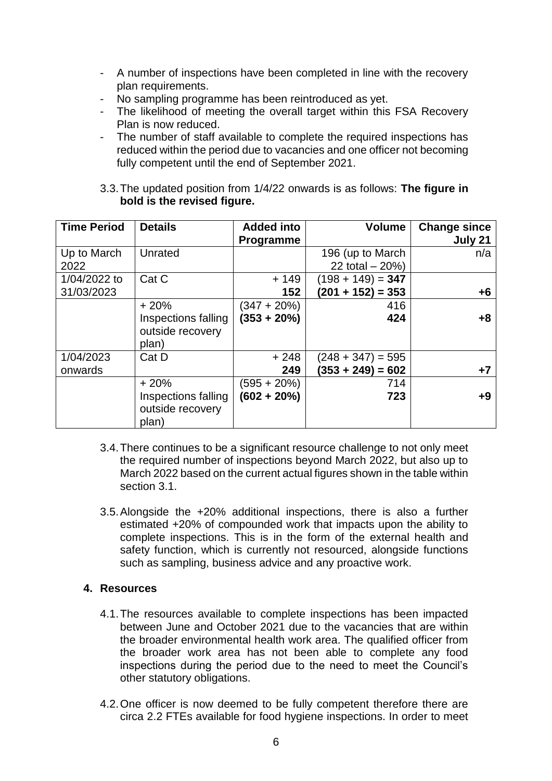- A number of inspections have been completed in line with the recovery plan requirements.
- No sampling programme has been reintroduced as yet.
- The likelihood of meeting the overall target within this FSA Recovery Plan is now reduced.
- The number of staff available to complete the required inspections has reduced within the period due to vacancies and one officer not becoming fully competent until the end of September 2021.

## 3.3.The updated position from 1/4/22 onwards is as follows: **The figure in bold is the revised figure.**

| <b>Time Period</b>         | <b>Details</b>                                             | <b>Added into</b><br>Programme   | <b>Volume</b>                              | <b>Change since</b><br>July 21 |
|----------------------------|------------------------------------------------------------|----------------------------------|--------------------------------------------|--------------------------------|
| Up to March<br>2022        | Unrated                                                    |                                  | 196 (up to March<br>22 total $-20%$        | n/a                            |
| 1/04/2022 to<br>31/03/2023 | Cat C                                                      | $+149$<br>152                    | $(198 + 149) = 347$<br>$(201 + 152) = 353$ | $+6$                           |
|                            | $+20%$<br>Inspections falling<br>outside recovery<br>plan) | $(347 + 20\%)$<br>$(353 + 20\%)$ | 416<br>424                                 | $+8$                           |
| 1/04/2023<br>onwards       | Cat D                                                      | $+248$<br>249                    | $(248 + 347) = 595$<br>$(353 + 249) = 602$ | $+7$                           |
|                            | $+20%$<br>Inspections falling<br>outside recovery<br>plan) | (595 + 20%)<br>$(602 + 20\%)$    | 714<br>723                                 | $+9$                           |

- 3.4.There continues to be a significant resource challenge to not only meet the required number of inspections beyond March 2022, but also up to March 2022 based on the current actual figures shown in the table within section 3.1.
- 3.5.Alongside the +20% additional inspections, there is also a further estimated +20% of compounded work that impacts upon the ability to complete inspections. This is in the form of the external health and safety function, which is currently not resourced, alongside functions such as sampling, business advice and any proactive work.

## **4. Resources**

- 4.1.The resources available to complete inspections has been impacted between June and October 2021 due to the vacancies that are within the broader environmental health work area. The qualified officer from the broader work area has not been able to complete any food inspections during the period due to the need to meet the Council's other statutory obligations.
- 4.2.One officer is now deemed to be fully competent therefore there are circa 2.2 FTEs available for food hygiene inspections. In order to meet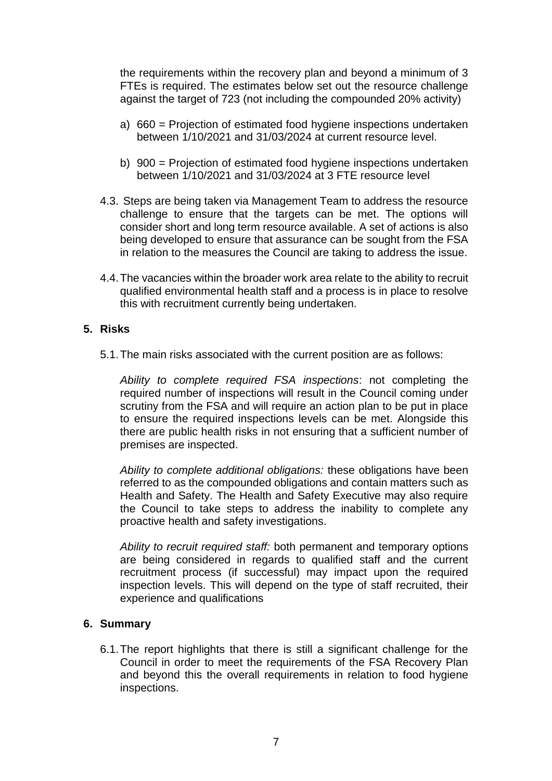the requirements within the recovery plan and beyond a minimum of 3 FTEs is required. The estimates below set out the resource challenge against the target of 723 (not including the compounded 20% activity)

- a) 660 = Projection of estimated food hygiene inspections undertaken between 1/10/2021 and 31/03/2024 at current resource level.
- b) 900 = Projection of estimated food hygiene inspections undertaken between 1/10/2021 and 31/03/2024 at 3 FTE resource level
- 4.3. Steps are being taken via Management Team to address the resource challenge to ensure that the targets can be met. The options will consider short and long term resource available. A set of actions is also being developed to ensure that assurance can be sought from the FSA in relation to the measures the Council are taking to address the issue.
- 4.4.The vacancies within the broader work area relate to the ability to recruit qualified environmental health staff and a process is in place to resolve this with recruitment currently being undertaken.

## **5. Risks**

5.1.The main risks associated with the current position are as follows:

*Ability to complete required FSA inspections*: not completing the required number of inspections will result in the Council coming under scrutiny from the FSA and will require an action plan to be put in place to ensure the required inspections levels can be met. Alongside this there are public health risks in not ensuring that a sufficient number of premises are inspected.

*Ability to complete additional obligations:* these obligations have been referred to as the compounded obligations and contain matters such as Health and Safety. The Health and Safety Executive may also require the Council to take steps to address the inability to complete any proactive health and safety investigations.

*Ability to recruit required staff:* both permanent and temporary options are being considered in regards to qualified staff and the current recruitment process (if successful) may impact upon the required inspection levels. This will depend on the type of staff recruited, their experience and qualifications

#### **6. Summary**

6.1.The report highlights that there is still a significant challenge for the Council in order to meet the requirements of the FSA Recovery Plan and beyond this the overall requirements in relation to food hygiene inspections.